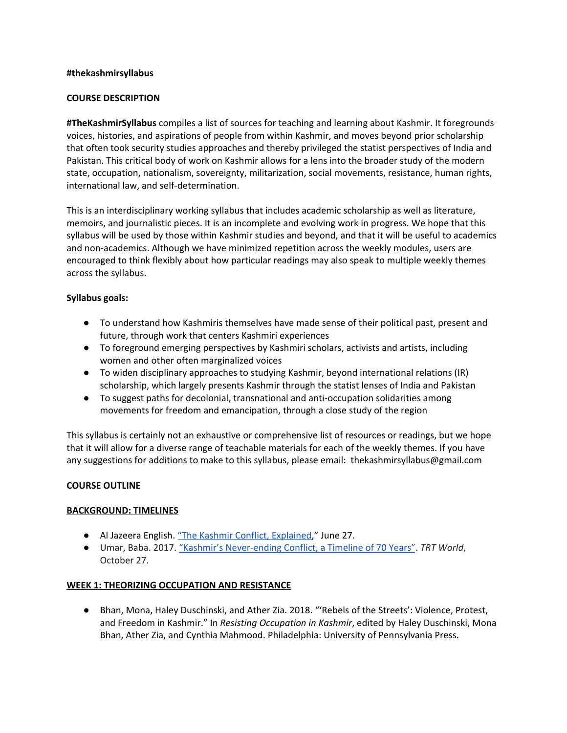### **#thekashmirsyllabus**

### **COURSE DESCRIPTION**

**#TheKashmirSyllabus** compiles a list of sources for teaching and learning about Kashmir. It foregrounds voices, histories, and aspirations of people from within Kashmir, and moves beyond prior scholarship that often took security studies approaches and thereby privileged the statist perspectives of India and Pakistan. This critical body of work on Kashmir allows for a lens into the broader study of the modern state, occupation, nationalism, sovereignty, militarization, social movements, resistance, human rights, international law, and self-determination.

This is an interdisciplinary working syllabus that includes academic scholarship as well as literature, memoirs, and journalistic pieces. It is an incomplete and evolving work in progress. We hope that this syllabus will be used by those within Kashmir studies and beyond, and that it will be useful to academics and non-academics. Although we have minimized repetition across the weekly modules, users are encouraged to think flexibly about how particular readings may also speak to multiple weekly themes across the syllabus.

### **Syllabus goals:**

- To understand how Kashmiris themselves have made sense of their political past, present and future, through work that centers Kashmiri experiences
- To foreground emerging perspectives by Kashmiri scholars, activists and artists, including women and other often marginalized voices
- To widen disciplinary approaches to studying Kashmir, beyond international relations (IR) scholarship, which largely presents Kashmir through the statist lenses of India and Pakistan
- To suggest paths for decolonial, transnational and anti-occupation solidarities among movements for freedom and emancipation, through a close study of the region

This syllabus is certainly not an exhaustive or comprehensive list of resources or readings, but we hope that it will allow for a diverse range of teachable materials for each of the weekly themes. If you have any suggestions for additions to make to this syllabus, please email: thekashmirsyllabus@gmail.com

### **COURSE OUTLINE**

#### **BACKGROUND: TIMELINES**

- Al Jazeera English. "The Kashmir Conflict, [Explained,](https://www.youtube.com/watch?v=CDpEmvjx12I)" June 27.
- Umar, Baba. 2017. "Kashmir's [Never-ending](https://www.trtworld.com/asia/kashmir-s-never-ending-conflict-a-timeline-of-70-years-11666) Conflict, a Timeline of 70 Years". *TRT World*, October 27.

#### **WEEK 1: THEORIZING OCCUPATION AND RESISTANCE**

● Bhan, Mona, Haley Duschinski, and Ather Zia. 2018. "'Rebels of the Streets': Violence, Protest, and Freedom in Kashmir." In *Resisting Occupation in Kashmir*, edited by Haley Duschinski, Mona Bhan, Ather Zia, and Cynthia Mahmood. Philadelphia: University of Pennsylvania Press.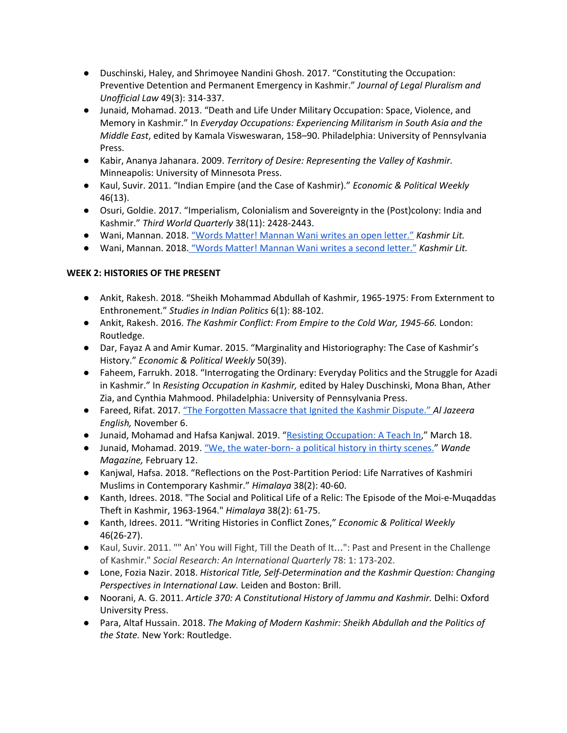- Duschinski, Haley, and Shrimoyee Nandini Ghosh. 2017. "Constituting the Occupation: Preventive Detention and Permanent Emergency in Kashmir." *Journal of Legal Pluralism and Unofficial Law* 49(3): 314-337.
- Junaid, Mohamad. 2013. "Death and Life Under Military Occupation: Space, Violence, and Memory in Kashmir." In *Everyday Occupations: Experiencing Militarism in South Asia and the Middle East*, edited by Kamala Visweswaran, 158–90. Philadelphia: University of Pennsylvania Press.
- Kabir, Ananya Jahanara. 2009. *Territory of Desire: Representing the Valley of Kashmir.* Minneapolis: University of Minnesota Press.
- Kaul, Suvir. 2011. "Indian Empire (and the Case of Kashmir)." *Economic & Political Weekly* 46(13).
- Osuri, Goldie. 2017. "Imperialism, Colonialism and Sovereignty in the (Post)colony: India and Kashmir." *Third World Quarterly* 38(11): 2428-2443.
- Wani, Mannan. 2018. "Words Matter! [Mannan](http://www.kashmirlit.org/mannan-wanis-first-letter/) Wani writes an open letter." *Kashmir Lit.*
- Wani, Mannan. 2018. "Words Matter! [Mannan](http://www.kashmirlit.org/words-matter-mannan-wani-writes-second-letter/) Wani writes a second letter." *Kashmir Lit.*

# **WEEK 2: HISTORIES OF THE PRESENT**

- Ankit, Rakesh. 2018. "Sheikh Mohammad Abdullah of Kashmir, 1965-1975: From Externment to Enthronement." *Studies in Indian Politics* 6(1): 88-102.
- Ankit, Rakesh. 2016. *The Kashmir Conflict: From Empire to the Cold War, 1945-66.* London: Routledge.
- Dar, Fayaz A and Amir Kumar. 2015. "Marginality and Historiography: The Case of Kashmir's History." *Economic & Political Weekly* 50(39).
- Faheem, Farrukh. 2018. "Interrogating the Ordinary: Everyday Politics and the Struggle for Azadi in Kashmir." In *Resisting Occupation in Kashmir,* edited by Haley Duschinski, Mona Bhan, Ather Zia, and Cynthia Mahmood. Philadelphia: University of Pennsylvania Press.
- Fareed, Rifat. 2017. "The [Forgotten](https://www.aljazeera.com/news/2017/11/forgotten-massacre-ignited-kashmir-dispute-171106144526930.html) Massacre that Ignited the Kashmir Dispute.["](https://www.aljazeera.com/news/2017/11/forgotten-massacre-ignited-kashmir-dispute-171106144526930.html) *Al Jazeera English,* November 6.
- Junaid, Mohamad and Hafsa Kanjwal. 2019. "Resisting [Occupation:](https://www.youtube.com/watch?v=GDGNU9QaQcU) A Teach In," March 18.
- Junaid, Mohamad. 2019. "We, the [water-born-](http://www.wandemag.com/we-the-water-born-political-history-in-thirty-scenes/) a political history in thirty scenes." *Wande Magazine,* February 12.
- Kanjwal, Hafsa. 2018. "Reflections on the Post-Partition Period: Life Narratives of Kashmiri Muslims in Contemporary Kashmir." *Himalaya* 38(2): 40-60.
- Kanth, Idrees. 2018. "The Social and Political Life of a Relic: The Episode of the Moi-e-Muqaddas Theft in Kashmir, 1963-1964." *Himalaya* 38(2): 61-75.
- Kanth, Idrees. 2011. "Writing Histories in Conflict Zones," *Economic & Political Weekly* 46(26-27).
- Kaul, Suvir. 2011. "" An' You will Fight, Till the Death of It…": Past and Present in the Challenge of Kashmir." *Social Research: An International Quarterly* 78: 1: 173-202.
- Lone, Fozia Nazir. 2018. *Historical Title, Self-Determination and the Kashmir Question: Changing Perspectives in International Law.* Leiden and Boston: Brill.
- Noorani, A. G. 2011. *Article 370: A Constitutional History of Jammu and Kashmir.* Delhi: Oxford University Press.
- Para, Altaf Hussain. 2018. *The Making of Modern Kashmir: Sheikh Abdullah and the Politics of the State.* New York: Routledge.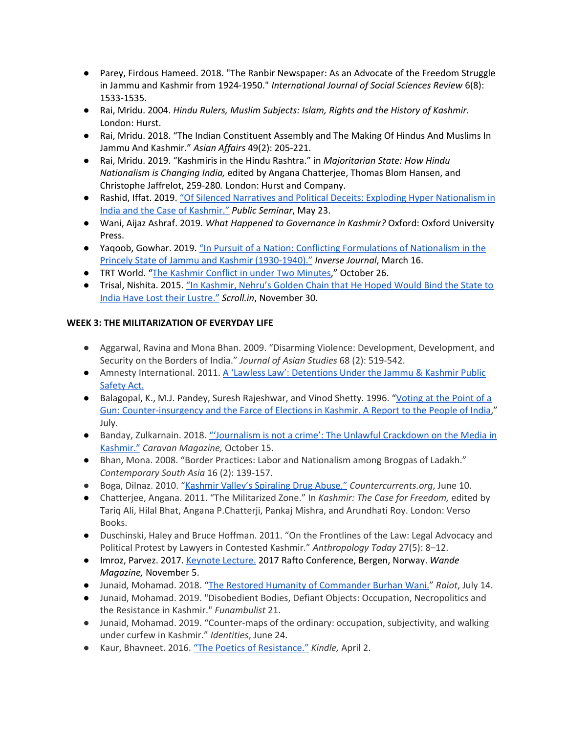- Parey, Firdous Hameed. 2018. "The Ranbir Newspaper: As an Advocate of the Freedom Struggle in Jammu and Kashmir from 1924-1950." *International Journal of Social Sciences Review* 6(8): 1533-1535.
- Rai, Mridu. 2004. *Hindu Rulers, Muslim Subjects: Islam, Rights and the History of Kashmir.* London: Hurst.
- Rai, Mridu. 2018. "The Indian Constituent Assembly and The Making Of Hindus And Muslims In Jammu And Kashmir." *Asian Affairs* 49(2): 205-221.
- Rai, Mridu. 2019. "Kashmiris in the Hindu Rashtra." in *Majoritarian State: How Hindu Nationalism is Changing India,* edited by Angana Chatterjee, Thomas Blom Hansen, and Christophe Jaffrelot, 259-280*.* London: Hurst and Company.
- Rashid, Iffat. 2019. "Of Silenced Narratives and Political Deceits: Exploding Hyper [Nationalism](http://www.publicseminar.org/2019/05/of-silenced-narratives-and-political-deceits/) in India and the Case of [Kashmir."](http://www.publicseminar.org/2019/05/of-silenced-narratives-and-political-deceits/) *Public Seminar*, May 23.
- Wani, Aijaz Ashraf. 2019. *What Happened to Governance in Kashmir?* Oxford: Oxford University Press.
- Yaqoob, Gowhar. 2019. "In Pursuit of a Nation: Conflicting [Formulations](http://www.inversejournal.com/2019/03/16/in-pursuit-of-a-nation-conflicting-formulations-of-nationalism-in-the-princely-state-of-jammu-and-kashmir-1930-1940-by-gowhar-yaqoob/) of Nationalism in the Princely State of Jammu and Kashmir [\(1930-1940\)."](http://www.inversejournal.com/2019/03/16/in-pursuit-of-a-nation-conflicting-formulations-of-nationalism-in-the-princely-state-of-jammu-and-kashmir-1930-1940-by-gowhar-yaqoob/) *Inverse Journal*, March 16.
- TRT World. "The Kashmir Conflict in under Two [Minutes,](https://www.youtube.com/watch?v=GbtyfvnGafk)" October 26.
- Trisal, Nishita. 2015. "In [Kashmir,](https://scroll.in/article/772211/in-kashmir-nehrus-golden-chains-that-he-hoped-would-bind-the-state-to-india-have-lost-their-lustre) Nehru's Golden Chain that He Hoped Would Bind the State to India Have Lost their [Lustre."](https://scroll.in/article/772211/in-kashmir-nehrus-golden-chains-that-he-hoped-would-bind-the-state-to-india-have-lost-their-lustre) *Scroll.in*, November 30.

# **WEEK 3: THE MILITARIZATION OF EVERYDAY LIFE**

- Aggarwal, Ravina and Mona Bhan. 2009. "Disarming Violence: Development, Development, and Security on the Borders of India." *Journal of Asian Studies* 68 (2): 519-542.
- Amnesty International. 2011. A 'Lawless Law': [Detentions](https://www.amnesty.org/en/library/asset/ASA20/001/2011/en/cee7e82a-f6a1-4410-acfc-769d794991b1/asa200012011en.pdf) Under the Jammu & Kashmir Public [Safety](https://www.amnesty.org/en/library/asset/ASA20/001/2011/en/cee7e82a-f6a1-4410-acfc-769d794991b1/asa200012011en.pdf) Act.
- Balagopal, K., M.J. Pandey, Suresh Rajeshwar, and Vinod Shetty. 1996. "[Voting](http://www.unipune.ac.in/snc/cssh/HumanRights/02%20STATE%20AND%20ARMY%20-%20POLICE%20REPRESSION/E%20Jammu%20and%20Kashmir/05.pdf) at the Point of a Gun: [Counter-insurgency](http://www.unipune.ac.in/snc/cssh/HumanRights/02%20STATE%20AND%20ARMY%20-%20POLICE%20REPRESSION/E%20Jammu%20and%20Kashmir/05.pdf) and the Farce of Elections in Kashmir. A Report to the People of India," July.
- Banday, Zulkarnain. 2018. ["'Journalism](https://caravanmagazine.in/media/unlawful-crackdown-on-media-kashmir) is not a crime': The Unlawful Crackdown on the Media in [Kashmir."](https://caravanmagazine.in/media/unlawful-crackdown-on-media-kashmir) *Caravan Magazine,* October 15.
- Bhan, Mona. 2008. "Border Practices: Labor and Nationalism among Brogpas of Ladakh." *Contemporary South Asia* 16 (2): 139-157.
- Boga, Dilnaz. 2010. "Kashmir Valley's [Spiraling](https://www.countercurrents.org/boga100610.htm) Drug Abuse." *Countercurrents.org*, June 10.
- Chatterjee, Angana. 2011. "The Militarized Zone." In *Kashmir: The Case for Freedom,* edited by Tariq Ali, Hilal Bhat, Angana P.Chatterji, Pankaj Mishra, and Arundhati Roy. London: Verso Books.
- Duschinski, Haley and Bruce Hoffman. 2011. "On the Frontlines of the Law: Legal Advocacy and Political Protest by Lawyers in Contested Kashmir." *Anthropology Today* 27(5): 8–12.
- Imroz, Parvez. 2017. [Keynote](http://www.wandemag.com/parvez-imroz-rafto-lecture/) Lecture. 2017 Rafto Conference, Bergen, Norway. *Wande Magazine,* November 5.
- Junaid, Mohamad. 2018. "The Restored Humanity of [Commander](http://www.raiot.in/the-restored-humanity-of-the-kashmiri-rebel/?fb_comment_id=1306952525999556_1307967555898053) Burhan Wani." *Raiot*, July 14.
- Junaid, Mohamad. 2019. "Disobedient Bodies, Defiant Objects: Occupation, Necropolitics and the Resistance in Kashmir." *Funambulist* 21.
- Junaid, Mohamad. 2019. "Counter-maps of the ordinary: occupation, subjectivity, and walking under curfew in Kashmir." *Identities*, June 24.
- Kaur, Bhavneet. 2016. "The Poetics of [Resistance."](http://kindlemag.in/the-poetics-of-resistance) *Kindle,* April 2.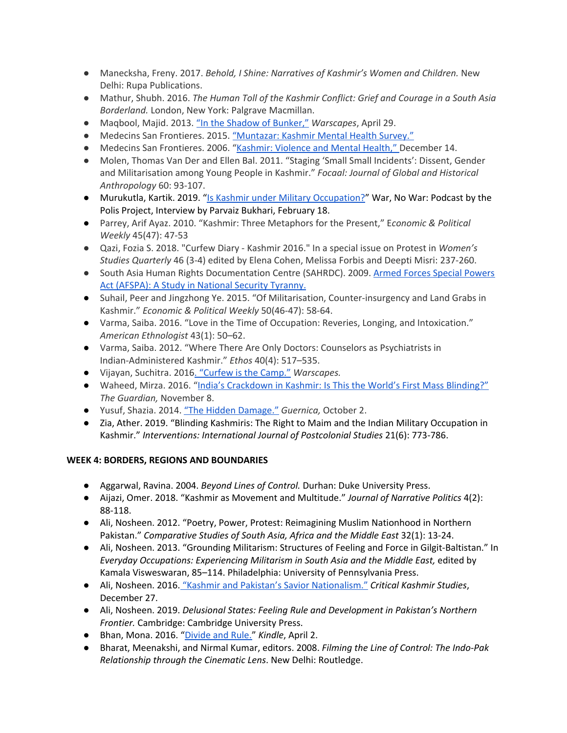- Manecksha, Freny. 2017. *Behold, I Shine: Narratives of Kashmir's Women and Children.* New Delhi: Rupa Publications.
- Mathur, Shubh. 2016. *The Human Toll of the Kashmir Conflict: Grief and Courage in a South Asia Borderland.* London, New York: Palgrave Macmillan.
- Maqbool, Majid. 2013. "In the Shadow of [Bunker,"](http://www.warscapes.com/opinion/shadow-bunkers) *Warscapes*, April 29.
- Medecins San Frontieres. 2015. ["Muntazar:](https://www.msfindia.in/sites/default/files/2016-10/kashmir_mental_health_survey_report_2015_for_web.pdf) Kashmir Mental Health Survey."
- Medecins San Frontieres. 2006. "[Kashmir:](https://www.msf.org/kashmir-violence-and-mental-health) Violence and Mental Health," December 14.
- Molen, Thomas Van Der and Ellen Bal. 2011. "Staging 'Small Small Incidents': Dissent, Gender and Militarisation among Young People in Kashmir." *Focaal: Journal of Global and Historical Anthropology* 60: 93-107.
- Murukutla, Kartik. 2019. "Is Kashmir under Military [Occupation?](https://www.thepolisproject.com/is-kashmir-under-military-occupation-why-thats-not-rhetoric-and-why-its-important-to-answer-the-question/#.XVWeJ-hKguV)" War, No War: Podcast by the Polis Project, Interview by Parvaiz Bukhari, February 18.
- Parrey, Arif Ayaz. 2010. "Kashmir: Three Metaphors for the Present," E*conomic & Political Weekly* 45(47): 47-53
- Qazi, Fozia S. 2018. "Curfew Diary Kashmir 2016." In a special issue on Protest in *Women's Studies Quarterly* 46 (3-4) edited by Elena Cohen, Melissa Forbis and Deepti Misri: 237-260.
- South Asia Human Rights Documentation Centre (SAHRDC). 2009. Armed Forces Special [Powers](http://www.hrdc.net/sahrdc/resources/armed_forces.htm) Act (AFSPA): A Study in National Security [Tyranny.](http://www.hrdc.net/sahrdc/resources/armed_forces.htm)
- Suhail, Peer and Jingzhong Ye. 2015. "Of Militarisation, Counter-insurgency and Land Grabs in Kashmir." *Economic & Political Weekly* 50(46-47): 58-64.
- Varma, Saiba. 2016. "Love in the Time of Occupation: Reveries, Longing, and Intoxication." *American Ethnologist* 43(1): 50–62.
- Varma, Saiba. 2012. "Where There Are Only Doctors: Counselors as Psychiatrists in Indian-Administered Kashmir." *Ethos* 40(4): 517–535.
- Vijayan, Suchitra. 2016. ["Curfew](http://warscapes.com/opinion/curfew-camp) is the Camp." *Warscapes.*
- Waheed, Mirza. 2016. "India's [Crackdown](https://www.theguardian.com/world/2016/nov/08/india-crackdown-in-kashmir-is-this-worlds-first-mass-blinding) in Kashmir: Is This the World's First Mass Blinding?" *The Guardian,* November 8.
- Yusuf, Shazia. 2014. "The Hidden [Damage."](https://www.guernicamag.com/shazia-yousuf-the-hidden-damage/) *Guernica,* October 2.
- Zia, Ather. 2019. "Blinding Kashmiris: The Right to Maim and the Indian Military Occupation in Kashmir." *Interventions: International Journal of Postcolonial Studies* 21(6): 773-786.

# **WEEK 4: BORDERS, REGIONS AND BOUNDARIES**

- Aggarwal, Ravina. 2004. *Beyond Lines of Control.* Durhan: Duke University Press.
- Aijazi, Omer. 2018. "Kashmir as Movement and Multitude." *Journal of Narrative Politics* 4(2): 88-118.
- Ali, Nosheen. 2012. "Poetry, Power, Protest: Reimagining Muslim Nationhood in Northern Pakistan." *Comparative Studies of South Asia, Africa and the Middle East* 32(1): 13-24.
- Ali, Nosheen. 2013. "Grounding Militarism: Structures of Feeling and Force in Gilgit-Baltistan." In *Everyday Occupations: Experiencing Militarism in South Asia and the Middle East,* edited by Kamala Visweswaran, 85–114. Philadelphia: University of Pennsylvania Press.
- Ali, Nosheen. 2016. "Kashmir and Pakistan's Savior [Nationalism."](https://criticalkashmirstudies.com/2016/12/27/kashmir-and-pakistans-savior-nationalism/) *Critical Kashmir Studies*, December 27.
- Ali, Nosheen. 2019. *Delusional States: Feeling Rule and Development in Pakistan's Northern Frontier.* Cambridge: Cambridge University Press.
- Bhan, Mona. 2016. "[Divide](http://kindlemag.in/divide-and-rule/) and Rule." *Kindle*, April 2.
- Bharat, Meenakshi, and Nirmal Kumar, editors. 2008. *Filming the Line of Control: The Indo-Pak Relationship through the Cinematic Lens*. New Delhi: Routledge.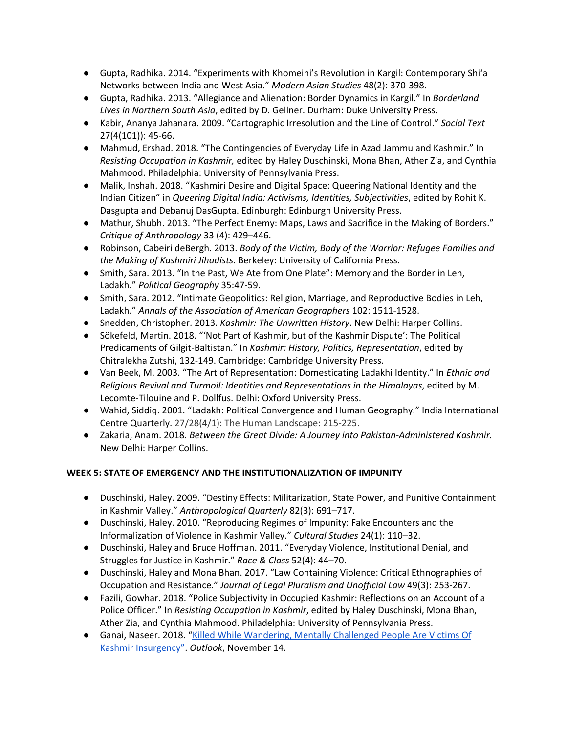- Gupta, Radhika. 2014. "Experiments with Khomeini's Revolution in Kargil: Contemporary Shi'a Networks between India and West Asia." *Modern Asian Studies* 48(2): 370-398.
- Gupta, Radhika. 2013. "Allegiance and Alienation: Border Dynamics in Kargil." In *Borderland Lives in Northern South Asia*, edited by D. Gellner. Durham: Duke University Press.
- Kabir, Ananya Jahanara. 2009. "Cartographic Irresolution and the Line of Control." *Social Text* 27(4(101)): 45-66.
- Mahmud, Ershad. 2018. "The Contingencies of Everyday Life in Azad Jammu and Kashmir." In *Resisting Occupation in Kashmir,* edited by Haley Duschinski, Mona Bhan, Ather Zia, and Cynthia Mahmood. Philadelphia: University of Pennsylvania Press.
- Malik, Inshah. 2018. "Kashmiri Desire and Digital Space: Queering National Identity and the Indian Citizen" in *Queering Digital India: Activisms, Identities, Subjectivities*, edited by Rohit K. Dasgupta and Debanuj DasGupta. Edinburgh: Edinburgh University Press.
- Mathur, Shubh. 2013. "The Perfect Enemy: Maps, Laws and Sacrifice in the Making of Borders." *Critique of Anthropology* 33 (4): 429–446.
- Robinson, Cabeiri deBergh. 2013. *Body of the Victim, Body of the Warrior: Refugee Families and the Making of Kashmiri Jihadists*. Berkeley: University of California Press.
- Smith, Sara. 2013. "In the Past, We Ate from One Plate": Memory and the Border in Leh, Ladakh." *Political Geography* 35:47-59.
- Smith, Sara. 2012. "Intimate Geopolitics: Religion, Marriage, and Reproductive Bodies in Leh, Ladakh." *Annals of the Association of American Geographers* 102: 1511-1528.
- Snedden, Christopher. 2013. *Kashmir: The Unwritten History*. New Delhi: Harper Collins.
- Sökefeld, Martin. 2018. "'Not Part of Kashmir, but of the Kashmir Dispute': The Political Predicaments of Gilgit-Baltistan." In *Kashmir: History, Politics, Representation*, edited by Chitralekha Zutshi, 132-149. Cambridge: Cambridge University Press.
- Van Beek, M. 2003. "The Art of Representation: Domesticating Ladakhi Identity." In *Ethnic and Religious Revival and Turmoil: Identities and Representations in the Himalayas*, edited by M. Lecomte-Tilouine and P. Dollfus. Delhi: Oxford University Press.
- Wahid, Siddiq. 2001. "Ladakh: Political Convergence and Human Geography." India International Centre Quarterly. 27/28(4/1): The Human Landscape: 215-225.
- Zakaria, Anam. 2018. *Between the Great Divide: A Journey into Pakistan-Administered Kashmir.* New Delhi: Harper Collins.

# **WEEK 5: STATE OF EMERGENCY AND THE INSTITUTIONALIZATION OF IMPUNITY**

- Duschinski, Haley. 2009. "Destiny Effects: Militarization, State Power, and Punitive Containment in Kashmir Valley." *Anthropological Quarterly* 82(3): 691–717.
- Duschinski, Haley. 2010. "Reproducing Regimes of Impunity: Fake Encounters and the Informalization of Violence in Kashmir Valley." *Cultural Studies* 24(1): 110–32.
- Duschinski, Haley and Bruce Hoffman. 2011. "Everyday Violence, Institutional Denial, and Struggles for Justice in Kashmir." *Race & Class* 52(4): 44–70.
- Duschinski, Haley and Mona Bhan. 2017. "Law Containing Violence: Critical Ethnographies of Occupation and Resistance." *Journal of Legal Pluralism and Unofficial Law* 49(3): 253-267.
- Fazili, Gowhar. 2018. "Police Subjectivity in Occupied Kashmir: Reflections on an Account of a Police Officer." In *Resisting Occupation in Kashmir*, edited by Haley Duschinski, Mona Bhan, Ather Zia, and Cynthia Mahmood. Philadelphia: University of Pennsylvania Press.
- Ganai, Naseer. 2018. "Killed While [Wandering,](https://www.outlookindia.com/magazine/story/many-returns-of-mantos-fool/300882) Mentally Challenged People Are Victims Of Kashmir [Insurgency".](https://www.outlookindia.com/magazine/story/many-returns-of-mantos-fool/300882) *Outlook*, November 14.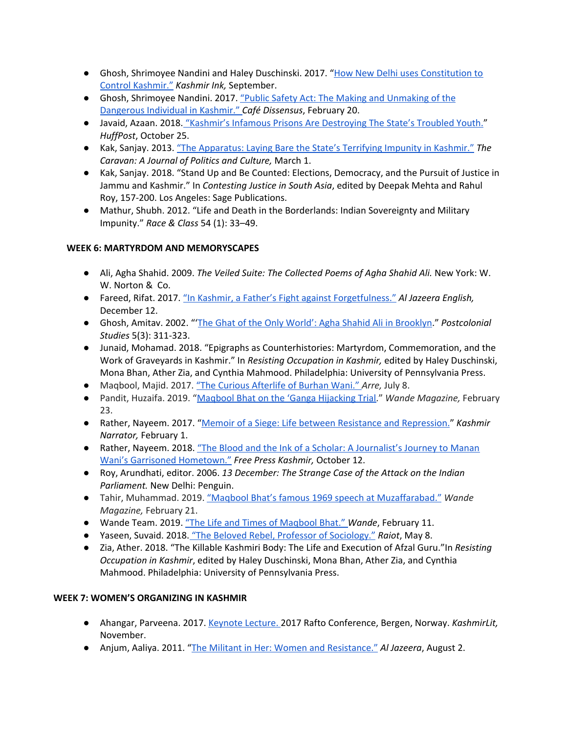- Ghosh, Shrimoyee Nandini and Haley Duschinski. 2017. "How New Delhi uses [Constitution](http://kashmirink.in/news/coverstory/how-new-delhi-uses-constitution-to-control-kashmir/438.html) to Control [Kashmir."](http://kashmirink.in/news/coverstory/how-new-delhi-uses-constitution-to-control-kashmir/438.html) *Kashmir Ink,* September.
- Ghosh, Shrimoyee Nandini. 2017. "Public Safety Act: The Making and [Unmaking](https://cafedissensus.com/2017/02/20/public-safety-act-the-making-and-unmaking-of-the-dangerous-individual-in-kashmir/) of the [Dangerous](https://cafedissensus.com/2017/02/20/public-safety-act-the-making-and-unmaking-of-the-dangerous-individual-in-kashmir/) Individual in Kashmir." *Café Dissensus*, February 20.
- Javaid, Azaan. 2018. "Kashmir's Infamous Prisons Are [Destroying](https://www.huffingtonpost.in/2018/10/24/in-kashmir-not-enough-attention-is-paid-to-what-happens-to-young-men-after-a-stint-in-jail_a_23570671/) The State's Troubled Youth." *HuffPost*, October 25.
- Kak, Sanjay. 2013. "The [Apparatus:](https://caravanmagazine.in/reportage/apparatus) Laying Bare the State's Terrifying Impunity in Kashmir." *The Caravan: A Journal of Politics and Culture,* March 1.
- Kak, Sanjay. 2018. "Stand Up and Be Counted: Elections, Democracy, and the Pursuit of Justice in Jammu and Kashmir." In *Contesting Justice in South Asia*, edited by Deepak Mehta and Rahul Roy, 157-200. Los Angeles: Sage Publications.
- Mathur, Shubh. 2012. "Life and Death in the Borderlands: Indian Sovereignty and Military Impunity." *Race & Class* 54 (1): 33–49.

# **WEEK 6: MARTYRDOM AND MEMORYSCAPES**

- Ali, Agha Shahid. 2009. *The Veiled Suite: The Collected Poems of Agha Shahid Ali.* New York: W. W. Norton & Co.
- Fareed, Rifat. 2017. "In Kashmir, a Father's Fight against [Forgetfulness."](https://www.aljazeera.com/news/2017/12/kashmir-father-fight-forgetfulness-171212113304705.html) *Al Jazeera English,* December 12.
- Ghosh, Amitav. 2002. "'The Ghat of the Only World': Agha Shahid Ali in [Brooklyn](https://www.thenation.com/article/ghat-only-world-agha-shahid-ali-brooklyn/)." *Postcolonial Studies* 5(3): 311-323.
- Junaid, Mohamad. 2018. "Epigraphs as Counterhistories: Martyrdom, Commemoration, and the Work of Graveyards in Kashmir." In *Resisting Occupation in Kashmir,* edited by Haley Duschinski, Mona Bhan, Ather Zia, and Cynthia Mahmood. Philadelphia: University of Pennsylvania Press.
- Maqbool, Majid. 2017. "The Curious [Afterlife](https://www.arre.co.in/politics/burhan-wani-kashmir-india-pakistan-nawaz-sharif-omar-abdullah/) of Burhan Wani." *Arre,* July 8.
- Pandit, Huzaifa. 2019. "Maqbool Bhat on the 'Ganga [Hijacking](http://www.wandemag.com/maqbool-bhat-ganga-hijacking-trial/) Trial." *Wande Magazine,* February 23.
- Rather, Nayeem. 2017. "Memoir of a Siege: Life between Resistance and [Repression.](http://kashmirnarrator.com/memoir-siege-life-resistance-repression/)" *Kashmir Narrator,* February 1.
- Rather, Nayeem. 2018. "The Blood and the Ink of a Scholar: A [Journalist's](https://freepresskashmir.com/2018/10/12/the-blood-and-the-ink-of-a-scholar-a-journalists-journey-to-mannan-wanis-garrisoned-hometown/) Journey to Manan Wani's Garrisoned [Hometown."](https://freepresskashmir.com/2018/10/12/the-blood-and-the-ink-of-a-scholar-a-journalists-journey-to-mannan-wanis-garrisoned-hometown/) *Free Press Kashmir,* October 12.
- Roy, Arundhati, editor. 2006. *13 December: The Strange Case of the Attack on the Indian Parliament.* New Delhi: Penguin.
- Tahir, Muhammad. 2019. "Maqbool Bhat's famous 1969 speech at [Muzaffarabad."](http://www.wandemag.com/maqbool-bhats-famous-1969-speech-muzaffarabad/) *Wande Magazine,* February 21.
- Wande Team. 2019. "The Life and Times of [Maqbool](http://www.wandemag.com/the-life-and-times-of-maqbool-bhat-part-one/) Bhat." *Wande*, February 11.
- Yaseen, Suvaid. 2018. "The Beloved Rebel, Professor of [Sociology."](http://www.raiot.in/the-beloved-rebel-professor-of-sociology/) *Raiot*, May 8.
- Zia, Ather. 2018. "The Killable Kashmiri Body: The Life and Execution of Afzal Guru."In *Resisting Occupation in Kashmir*, edited by Haley Duschinski, Mona Bhan, Ather Zia, and Cynthia Mahmood. Philadelphia: University of Pennsylvania Press.

# **WEEK 7: WOMEN'S ORGANIZING IN KASHMIR**

- Ahangar, Parveena. 2017. [Keynote](http://www.kashmirlit.org/parveena-ahangars-rafto-acceptance-speech/) Lecture. 2017 Rafto Conference, Bergen, Norway. *KashmirLit,* November.
- Anjum, Aaliya. 2011. "The Militant in Her: Women and [Resistance."](https://www.aljazeera.com/indepth/spotlight/kashmirtheforgottenconflict/2011/07/2011731995821770.html) *Al Jazeera*, August 2.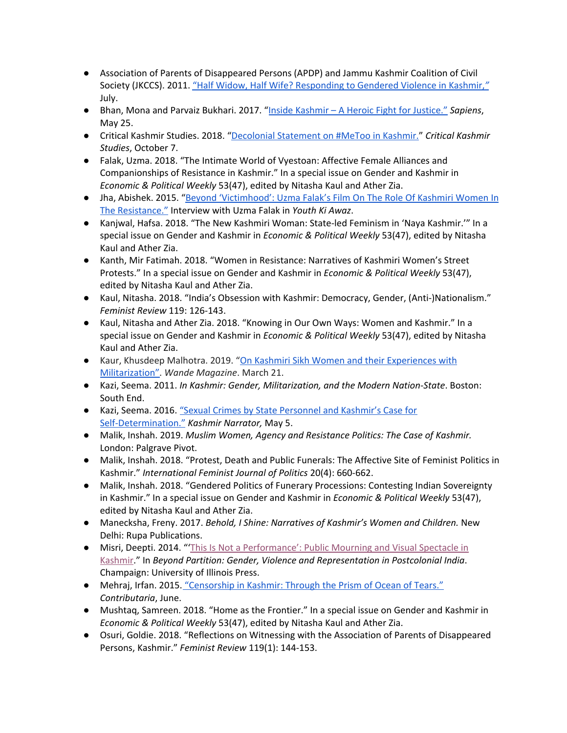- Association of Parents of Disappeared Persons (APDP) and Jammu Kashmir Coalition of Civil Society (JKCCS). 2011. "Half Widow, Half Wife? [Responding](https://kafilabackup.files.wordpress.com/2011/07/half-widow-half-wife-apdp-report.pdf) to Gendered Violence in Kashmir,*["](https://kafilabackup.files.wordpress.com/2011/07/half-widow-half-wife-apdp-report.pdf)* July.
- Bhan, Mona and Parvaiz Bukhari. 2017. "Inside Kashmir A Heroic Fight for [Justice."](https://www.sapiens.org/culture/kashmir-justice/) *Sapiens*, May 25.
- Critical Kashmir Studies. 2018. "[Decolonial](https://criticalkashmirstudies.com/2018/10/07/decolonial-feminist-statement-on-metoo-in-kashmir/) Statement on #MeToo in Kashmir." *Critical Kashmir Studies*, October 7.
- Falak, Uzma. 2018. "The Intimate World of Vyestoan: Affective Female Alliances and Companionships of Resistance in Kashmir." In a special issue on Gender and Kashmir in *Economic & Political Weekly* 53(47), edited by Nitasha Kaul and Ather Zia.
- Jha, Abishek. 2015. "Beyond ['Victimhood':](https://www.youthkiawaaz.com/2015/09/psbt-film-festival-2015-interview-uzma-falak/) Uzma Falak's Film On The Role Of Kashmiri Women In The [Resistance."](https://www.youthkiawaaz.com/2015/09/psbt-film-festival-2015-interview-uzma-falak/) Interview with Uzma Falak in *Youth Ki Awaz*.
- Kanjwal, Hafsa. 2018. "The New Kashmiri Woman: State-led Feminism in 'Naya Kashmir.'" In a special issue on Gender and Kashmir in *Economic & Political Weekly* 53(47), edited by Nitasha Kaul and Ather Zia.
- Kanth, Mir Fatimah. 2018. "Women in Resistance: Narratives of Kashmiri Women's Street Protests." In a special issue on Gender and Kashmir in *Economic & Political Weekly* 53(47), edited by Nitasha Kaul and Ather Zia.
- Kaul, Nitasha. 2018. "India's Obsession with Kashmir: Democracy, Gender, (Anti-)Nationalism." *Feminist Review* 119: 126-143.
- Kaul, Nitasha and Ather Zia. 2018. "Knowing in Our Own Ways: Women and Kashmir." In a special issue on Gender and Kashmir in *Economic & Political Weekly* 53(47), edited by Nitasha Kaul and Ather Zia.
- Kaur, Khusdeep Malhotra. 2019. "On Kashmiri Sikh Women and their [Experiences](http://www.wandemag.com/kashmiri-sikh-women-and-their-experiences-with-militarization/) with [Militarization"](http://www.wandemag.com/kashmiri-sikh-women-and-their-experiences-with-militarization/). *Wande Magazine*. March 21.
- Kazi, Seema. 2011. *In Kashmir: Gender, Militarization, and the Modern Nation-State*. Boston: South End.
- Kazi, Seema. 2016. "Sexual Crimes by State [Personnel](http://kashmirnarrator.com/sexual-crimes-state-personnel-kashmirs-case-self-determination/) and Kashmir's Case for [Self-Determination."](http://kashmirnarrator.com/sexual-crimes-state-personnel-kashmirs-case-self-determination/) *Kashmir Narrator,* May 5.
- Malik, Inshah. 2019. *Muslim Women, Agency and Resistance Politics: The Case of Kashmir.* London: Palgrave Pivot.
- Malik, Inshah. 2018. "Protest, Death and Public Funerals: The Affective Site of Feminist Politics in Kashmir." *International Feminist Journal of Politics* 20(4): 660-662.
- Malik, Inshah. 2018. "Gendered Politics of Funerary Processions: Contesting Indian Sovereignty in Kashmir." In a special issue on Gender and Kashmir in *Economic & Political Weekly* 53(47), edited by Nitasha Kaul and Ather Zia.
- Manecksha, Freny. 2017. *Behold, I Shine: Narratives of Kashmir's Women and Children.* New Delhi: Rupa Publications.
- Misri, Deepti. 2014. "'This Is Not a [Performance':](https://www.academia.edu/39778213/_This_Is_Not_A_Performance_Public_Mourning_and_Visual_Spectacle_in_Kashmir) Public Mourning and Visual Spectacle in [Kashmir](https://www.academia.edu/39778213/_This_Is_Not_A_Performance_Public_Mourning_and_Visual_Spectacle_in_Kashmir)." In *Beyond Partition: Gender, Violence and Representation in Postcolonial India*. Champaign: University of Illinois Press.
- Mehraj, Irfan. 2015. ["Censorship](http://www.contributoria.com/issue/201506/552ab4b4696880fe3f00005d.html) in Kashmir: Through the Prism of Ocean of Tears." *Contributaria*, June.
- Mushtaq, Samreen. 2018. "Home as the Frontier." In a special issue on Gender and Kashmir in *Economic & Political Weekly* 53(47), edited by Nitasha Kaul and Ather Zia.
- Osuri, Goldie. 2018. "Reflections on Witnessing with the Association of Parents of Disappeared Persons, Kashmir." *Feminist Review* 119(1): 144-153.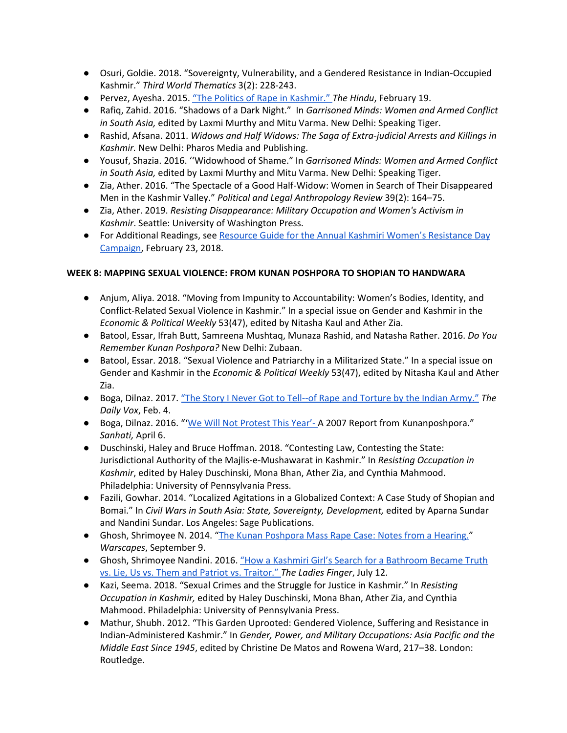- Osuri, Goldie. 2018. "Sovereignty, Vulnerability, and a Gendered Resistance in Indian-Occupied Kashmir." *Third World Thematics* 3(2): 228-243.
- Pervez, Ayesha. 2015. "The Politics of Rape in [Kashmir."](http://www.thehindu.com/opinion/lead/lead-article-politics-of-rape-in-kashmir/article6909603.ece) *The Hindu*, February 19.
- Rafiq, Zahid. 2016. "Shadows of a Dark Night." In *Garrisoned Minds: Women and Armed Conflict in South Asia,* edited by Laxmi Murthy and Mitu Varma. New Delhi: Speaking Tiger.
- Rashid, Afsana. 2011. *Widows and Half Widows: The Saga of Extra-judicial Arrests and Killings in Kashmir.* New Delhi: Pharos Media and Publishing.
- Yousuf, Shazia. 2016. ''Widowhood of Shame." In *Garrisoned Minds: Women and Armed Conflict in South Asia,* edited by Laxmi Murthy and Mitu Varma. New Delhi: Speaking Tiger.
- Zia, Ather. 2016. "The Spectacle of a Good Half-Widow: Women in Search of Their Disappeared Men in the Kashmir Valley." *Political and Legal Anthropology Review* 39(2): 164–75.
- Zia, Ather. 2019. *Resisting Disappearance: Military Occupation and Women's Activism in Kashmir*. Seattle: University of Washington Press.
- For Additional Readings, see Resource Guide for the Annual Kashmiri Women's [Resistance](https://criticalkashmirstudies.com/2018/02/21/resource-guide-for-kashmiri-womens-resistance-day-campaign-feb-23-march-8/) Day [Campaign](https://criticalkashmirstudies.com/2018/02/21/resource-guide-for-kashmiri-womens-resistance-day-campaign-feb-23-march-8/), February 23, 2018.

## **WEEK 8: MAPPING SEXUAL VIOLENCE: FROM KUNAN POSHPORA TO SHOPIAN TO HANDWARA**

- Anjum, Aliya. 2018. "Moving from Impunity to Accountability: Women's Bodies, Identity, and Conflict-Related Sexual Violence in Kashmir." In a special issue on Gender and Kashmir in the *Economic & Political Weekly* 53(47), edited by Nitasha Kaul and Ather Zia.
- Batool, Essar, Ifrah Butt, Samreena Mushtaq, Munaza Rashid, and Natasha Rather. 2016. *Do You Remember Kunan Poshpora?* New Delhi: Zubaan.
- Batool, Essar. 2018. "Sexual Violence and Patriarchy in a Militarized State." In a special issue on Gender and Kashmir in the *Economic & Political Weekly* 53(47), edited by Nitasha Kaul and Ather Zia.
- Boga, Dilnaz. 2017. "The Story I Never Got to Tell--of Rape and [Torture](https://www.thedailyvox.co.za/pakistan-indian-army-rape/) by the Indian Army." *The Daily Vox*, Feb. 4.
- Boga, Dilnaz. 2016. "'We Will Not [Protest](https://sanhati.com/excerpted/16786/) This Year'-A 2007 Report from Kunanposhpora." *Sanhati,* April 6.
- Duschinski, Haley and Bruce Hoffman. 2018. "Contesting Law, Contesting the State: Jurisdictional Authority of the Majlis-e-Mushawarat in Kashmir." In *Resisting Occupation in Kashmir*, edited by Haley Duschinski, Mona Bhan, Ather Zia, and Cynthia Mahmood. Philadelphia: University of Pennsylvania Press.
- Fazili, Gowhar. 2014. "Localized Agitations in a Globalized Context: A Case Study of Shopian and Bomai." In *Civil Wars in South Asia: State, Sovereignty, Development,* edited by Aparna Sundar and Nandini Sundar. Los Angeles: Sage Publications.
- Ghosh, Shrimoyee N. 2014. "The Kunan [Poshpora](http://www.warscapes.com/reportage/kunan-poshpora-mass-rape-case-notes-hearing) Mass Rape Case: Notes from a Hearing." *Warscapes*, September 9.
- Ghosh, Shrimoyee Nandini. 2016. "How a Kashmiri Girl's Search for a [Bathroom](http://theladiesfinger.com/handwara/) Became Truth vs. Lie, Us vs. Them and Patriot vs. [Traitor."](http://theladiesfinger.com/handwara/) *The Ladies Finger*, July 12.
- Kazi, Seema. 2018. "Sexual Crimes and the Struggle for Justice in Kashmir." In *Resisting Occupation in Kashmir,* edited by Haley Duschinski, Mona Bhan, Ather Zia, and Cynthia Mahmood. Philadelphia: University of Pennsylvania Press.
- Mathur, Shubh. 2012. "This Garden Uprooted: Gendered Violence, Suffering and Resistance in Indian-Administered Kashmir." In *Gender, Power, and Military Occupations: Asia Pacific and the Middle East Since 1945*, edited by Christine De Matos and Rowena Ward, 217–38. London: Routledge.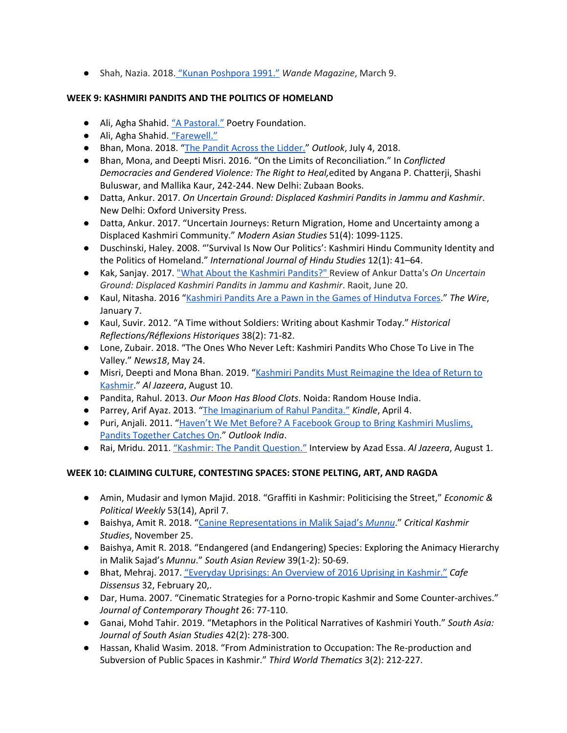● Shah, Nazia. 2018. "Kunan [Poshpora](http://www.wandemag.com/kunan-poshpora-nazia-shah/) 1991." *Wande Magazine*, March 9.

# **WEEK 9: KASHMIRI PANDITS AND THE POLITICS OF HOMELAND**

- Ali, Agha Shahid. "A [Pastoral."](https://www.poetryfoundation.org/poems/43274/a-pastoral) Poetry Foundation.
- Ali, Agha Shahid. ["Farewell."](https://nptel.ac.in/courses/109106075/Reading%20Poetry%2025.pdf)
- Bhan, Mona. 2018. "The Pandit Across the [Lidder."](https://www.outlookindia.com/magazine/story/the-pandit-across-the-lidder/300352) *Outlook*, July 4, 2018.
- Bhan, Mona, and Deepti Misri. 2016. "On the Limits of Reconciliation." In *Conflicted Democracies and Gendered Violence: The Right to Heal,*edited by Angana P. Chatterji, Shashi Buluswar, and Mallika Kaur, 242-244. New Delhi: Zubaan Books.
- Datta, Ankur. 2017. *On Uncertain Ground: Displaced Kashmiri Pandits in Jammu and Kashmir*. New Delhi: Oxford University Press.
- Datta, Ankur. 2017. "Uncertain Journeys: Return Migration, Home and Uncertainty among a Displaced Kashmiri Community." *Modern Asian Studies* 51(4): 1099-1125.
- Duschinski, Haley. 2008. "'Survival Is Now Our Politics': Kashmiri Hindu Community Identity and the Politics of Homeland." *International Journal of Hindu Studies* 12(1): 41–64.
- Kak, Sanjay. 2017. "What About the Kashmiri [Pandits?"](http://www.raiot.in/what-about-the-kashmiri-pandits/) [Re](http://www.raiot.in/what-about-the-kashmiri-pandits/)view of Ankur Datta's *On Uncertain Ground: Displaced Kashmiri Pandits in Jammu and Kashmir*. Raoit, June 20.
- Kaul, Nitasha. 2016 "Kashmiri Pandits Are a Pawn in the Games of [Hindutva](https://thewire.in/communalism/kashmiri-pandits-are-a-pawn-in-the-games-of-hindutva-forces) Forces." *The Wire*, January 7.
- Kaul, Suvir. 2012. "A Time without Soldiers: Writing about Kashmir Today." *Historical Reflections/Réflexions Historiques* 38(2): 71-82.
- Lone, Zubair. 2018. "The Ones Who Never Left: Kashmiri Pandits Who Chose To Live in The Valley." *News18*, May 24.
- Misri, Deepti and Mona Bhan. 2019. "Kashmiri Pandits Must [Reimagine](https://www.aljazeera.com/indepth/opinion/kashmiri-pandits-imagine-idea-return-kashmir-190810183932740.html) the Idea of Return to [Kashmir](https://www.aljazeera.com/indepth/opinion/kashmiri-pandits-imagine-idea-return-kashmir-190810183932740.html)." *Al Jazeera*, August 10.
- Pandita, Rahul. 2013. *Our Moon Has Blood Clots*. Noida: Random House India.
- Parrey, Arif Ayaz. 2013. "The [Imaginarium](http://kindlemag.in/the-imaginarium-of-rahul-pandita/) of Rahul Pandita." *Kindle*, April 4.
- Puri, Anjali. 2011. "Haven't We Met Before? A [Facebook](https://www.outlookindia.com/magazine/story/havent-we-met-before/271891) Group to Bring Kashmiri Muslims, Pandits [Together](https://www.outlookindia.com/magazine/story/havent-we-met-before/271891) Catches On." *Outlook India*.
- Rai, Mridu. 2011. "Kashmir: The Pandit [Question."](https://www.aljazeera.com/indepth/spotlight/kashmirtheforgottenconflict/2011/07/2011724204546645823.html) Interview by Azad Essa. *Al Jazeera*, August 1.

# **WEEK 10: CLAIMING CULTURE, CONTESTING SPACES: STONE PELTING, ART, AND RAGDA**

- Amin, Mudasir and Iymon Majid. 2018. "Graffiti in Kashmir: Politicising the Street," *Economic & Political Weekly* 53(14), April 7.
- Baishya, Amit R. 2018. "Canine [Representations](https://criticalkashmirstudies.com/2018/11/25/canine-representations-in-malik-sajads-munnu-2/?fbclid=IwAR1CTB0tCuXPKScT1L9l4WX_Ps4RwKFg2MV8ct78H5d8ynezmxQgY3OL6TA) in Malik Sajad's *[Munnu](https://criticalkashmirstudies.com/2018/11/25/canine-representations-in-malik-sajads-munnu-2/?fbclid=IwAR1CTB0tCuXPKScT1L9l4WX_Ps4RwKFg2MV8ct78H5d8ynezmxQgY3OL6TA)*." *Critical Kashmir Studies*, November 25.
- Baishya, Amit R. 2018. "Endangered (and Endangering) Species: Exploring the Animacy Hierarchy in Malik Sajad's *Munnu*." *South Asian Review* 39(1-2): 50-69.
- Bhat, Mehraj. 2017. ["Everyday](https://cafedissensus.com/2017/02/20/everyday-resistance-an-overview-of-2016-uprising-in-kashmir/) Uprisings: An Overview of 2016 Uprising in Kashmir." *Cafe Dissensus* 32, February 20,.
- Dar, Huma. 2007. "Cinematic Strategies for a Porno-tropic Kashmir and Some Counter-archives." *Journal of Contemporary Thought* 26: 77-110.
- Ganai, Mohd Tahir. 2019. "Metaphors in the Political Narratives of Kashmiri Youth." *South Asia: Journal of South Asian Studies* 42(2): 278-300.
- Hassan, Khalid Wasim. 2018. "From Administration to Occupation: The Re-production and Subversion of Public Spaces in Kashmir." *Third World Thematics* 3(2): 212-227.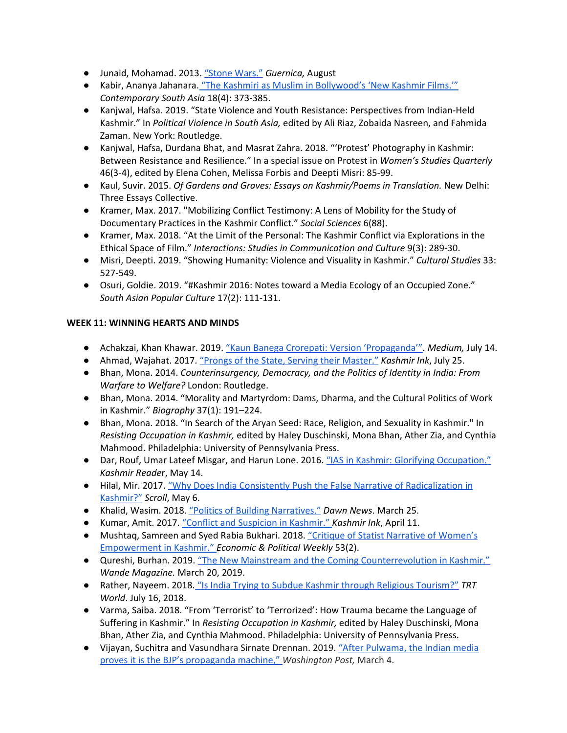- Junaid, Mohamad. 2013. "Stone [Wars."](https://www.guernicamag.com/stone-wars/) *Guernica,* August
- Kabir, Ananya Jahanara. "The Kashmiri as Muslim in [Bollywood's](https://pages.uoregon.edu/aweiss/indianfilmclass/The%20Kashmiri%20as%20Musilm.pdf) 'New Kashmir Films.'" *Contemporary South Asia* 18(4): 373-385.
- Kanjwal, Hafsa. 2019. "State Violence and Youth Resistance: Perspectives from Indian-Held Kashmir." In *Political Violence in South Asia,* edited by Ali Riaz, Zobaida Nasreen, and Fahmida Zaman. New York: Routledge.
- Kanjwal, Hafsa, Durdana Bhat, and Masrat Zahra. 2018. "'Protest' Photography in Kashmir: Between Resistance and Resilience." In a special issue on Protest in *Women's Studies Quarterly* 46(3-4), edited by Elena Cohen, Melissa Forbis and Deepti Misri: 85-99.
- Kaul, Suvir. 2015. *Of Gardens and Graves: Essays on Kashmir/Poems in Translation.* New Delhi: Three Essays Collective.
- Kramer, Max. 2017. "Mobilizing Conflict Testimony: A Lens of Mobility for the Study of Documentary Practices in the Kashmir Conflict." *Social Sciences* 6(88).
- Kramer, Max. 2018. "At the Limit of the Personal: The Kashmir Conflict via Explorations in the Ethical Space of Film." *Interactions: Studies in Communication and Culture* 9(3): 289-30.
- Misri, Deepti. 2019. "Showing Humanity: Violence and Visuality in Kashmir." *Cultural Studies* 33: 527-549.
- Osuri, Goldie. 2019. "#Kashmir 2016: Notes toward a Media Ecology of an Occupied Zone." *South Asian Popular Culture* 17(2): 111-131.

# **WEEK 11: WINNING HEARTS AND MINDS**

- Achakzai, Khan Khawar. 2019. "Kaun Banega Crorepati: Version ['Propaganda'".](https://medium.com/@khankhawarachakzai/kaun-banega-crorepati-version-propaganda-a632958d033) *Medium,* July 14.
- Ahmad, Wajahat. 2017. "Prongs of the State, Serving their [Master."](http://www.kashmirink.in/news/politics/prongs-of-the-state-serving-their-masters/407.html) *Kashmir Ink*, July 25.
- Bhan, Mona. 2014. *Counterinsurgency, Democracy, and the Politics of Identity in India: From Warfare to Welfare?* London: Routledge.
- Bhan, Mona. 2014. "Morality and Martyrdom: Dams, Dharma, and the Cultural Politics of Work in Kashmir." *Biography* 37(1): 191–224.
- Bhan, Mona. 2018. "In Search of the Aryan Seed: Race, Religion, and Sexuality in Kashmir." In *Resisting Occupation in Kashmir,* edited by Haley Duschinski, Mona Bhan, Ather Zia, and Cynthia Mahmood. Philadelphia: University of Pennsylvania Press.
- Dar, Rouf, Umar Lateef Misgar, and Harun Lone. 2016. ["IAS](https://kashmirreader.com/2016/05/14/ias-in-kashmir-glorifying-occupation/) in Kashmir: Glorifying [Occupation."](https://kashmirreader.com/2016/05/14/ias-in-kashmir-glorifying-occupation/) *[Kashmir](https://kashmirreader.com/2016/05/14/ias-in-kashmir-glorifying-occupation/) Reade*r, May 14.
- Hilal, Mir. 2017. "Why Does India Consistently Push the False Narrative of [Radicalization](https://scroll.in/article/836632/why-does-india-consistently-push-the-false-narrative-of-radicalisation-in-kashmir) in [Kashmir?"](https://scroll.in/article/836632/why-does-india-consistently-push-the-false-narrative-of-radicalisation-in-kashmir) *Scroll*, May 6.
- Khalid, Wasim. 2018. "Politics of Building [Narratives."](https://www.dawn.com/news/1397407/politics-of-building-narratives) *Dawn News*. March 25.
- Kumar, Amit. 2017. "Conflict and Suspicion in [Kashmir."](http://www.kashmirink.in/news/perspective/conflict-and-suspicion-in-kashmir/325.html) *Kashmir Ink*, April 11.
- Mushtaq, Samreen and Syed Rabia Bukhari. 2018. "Critique of Statist Narrative of [Women's](https://www.epw.in/journal/2018/2/notes/critique-statist-narrative-women-empowerment-kashmir.html) [Empowerment](https://www.epw.in/journal/2018/2/notes/critique-statist-narrative-women-empowerment-kashmir.html) in Kashmir." *Economic & Political Weekly* 53(2).
- Qureshi, Burhan. 2019. "The New Mainstream and the Coming [Counterrevolution](http://www.wandemag.com/the-new-mainstream/?fbclid=IwAR13nI3xqObX9OCoBThODX94k3kTRxoLdCi8tUip6CW8ZQaaLg31JMcEspc) in Kashmir." *Wande Magazine.* March 20, 2019.
- Rather, Nayeem. 2018. "Is India Trying to Subdue Kashmir through Religious [Tourism?"](https://www.trtworld.com/opinion/is-india-trying-to-subdue-kashmir-through-religious-tourism--18963) *TRT World*. July 16, 2018.
- Varma, Saiba. 2018. "From 'Terrorist' to 'Terrorized': How Trauma became the Language of Suffering in Kashmir." In *Resisting Occupation in Kashmir,* edited by Haley Duschinski, Mona Bhan, Ather Zia, and Cynthia Mahmood. Philadelphia: University of Pennsylvania Press.
- Vijayan, Suchitra and Vasundhara Sirnate Drennan. 2019. "After [Pulwama,](https://www.washingtonpost.com/opinions/2019/03/04/after-pulwama-indian-media-proves-it-is-bjps-propaganda-machine/?utm_term=.73e1a59b0d21) the Indian media proves it is the BJP's [propaganda](https://www.washingtonpost.com/opinions/2019/03/04/after-pulwama-indian-media-proves-it-is-bjps-propaganda-machine/?utm_term=.73e1a59b0d21) machine," *Washington Post,* March 4.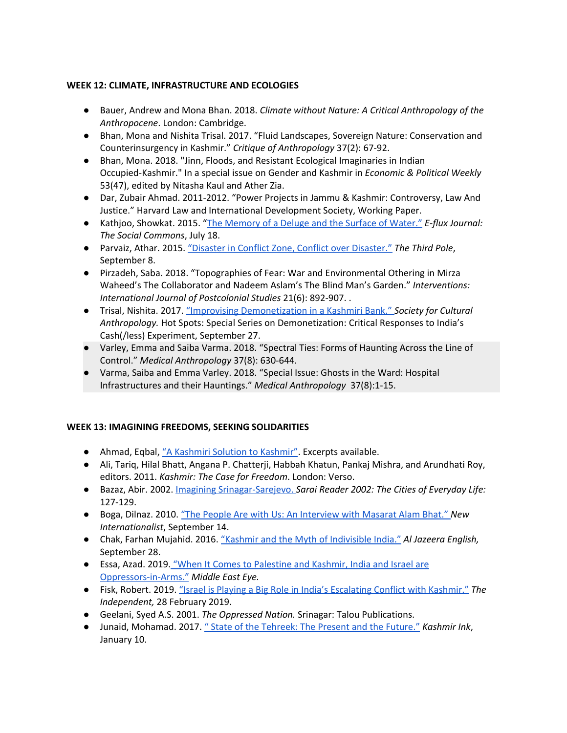## **WEEK 12: CLIMATE, INFRASTRUCTURE AND ECOLOGIES**

- Bauer, Andrew and Mona Bhan. 2018. *Climate without Nature: A Critical Anthropology of the Anthropocene*. London: Cambridge.
- Bhan, Mona and Nishita Trisal. 2017. "Fluid Landscapes, Sovereign Nature: Conservation and Counterinsurgency in Kashmir." *Critique of Anthropology* 37(2): 67-92.
- Bhan, Mona. 2018. "Jinn, Floods, and Resistant Ecological Imaginaries in Indian Occupied-Kashmir." In a special issue on Gender and Kashmir in *Economic & Political Weekly* 53(47), edited by Nitasha Kaul and Ather Zia.
- Dar, Zubair Ahmad. 2011-2012. "Power Projects in Jammu & Kashmir: Controversy, Law And Justice." Harvard Law and International Development Society, Working Paper.
- Kathjoo, Showkat. 2015. "The [Memory](http://supercommunity.e-flux.com/texts/the-memory-of-a-deluge-and-the-surface-of-water/) of a Deluge and the Surface of Water." *E-flux Journal: The Social Commons*, July 18.
- Parvaiz, Athar. 2015. "Disaster in Conflict Zone, Conflict over [Disaster."](https://www.thethirdpole.net/en/2015/09/08/disaster-in-conflict-zone-conflict-over-disaster/) *The Third Pole*, September 8.
- Pirzadeh, Saba. 2018. "Topographies of Fear: War and Environmental Othering in Mirza Waheed's The Collaborator and Nadeem Aslam's The Blind Man's Garden." *Interventions: International Journal of Postcolonial Studies* 21(6): 892-907. .
- Trisal, Nishita. 2017. "Improvising [Demonetization](https://culanth.org/fieldsights/improvising-demonetization-in-a-kashmiri-bank) in a Kashmiri Bank." *Society for Cultural Anthropology.* Hot Spots: Special Series on Demonetization: Critical Responses to India's Cash(/less) Experiment, September 27.
- Varley, Emma and Saiba Varma. 2018. "Spectral Ties: Forms of Haunting Across the Line of Control." *Medical Anthropology* 37(8): 630-644.
- Varma, Saiba and Emma Varley. 2018. "Special Issue: Ghosts in the Ward: Hospital Infrastructures and their Hauntings." *Medical Anthropology* 37(8):1-15.

### **WEEK 13: IMAGINING FREEDOMS, SEEKING SOLIDARITIES**

- Ahmad, Eqbal, "A Kashmiri Solution to [Kashmir".](http://www.geocities.com/CollegePark/Library/9803/eqbal_ahmad/kashmir.html) Excerpts available.
- Ali, Tariq, Hilal Bhatt, Angana P. Chatterii, Habbah Khatun, Pankaj Mishra, and Arundhati Roy, editors. 2011. *Kashmir: The Case for Freedom*. London: Verso.
- Bazaz, Abir. 2002. Imagining [Srinagar-Sarejevo.](http://archive.sarai.net/files/original/877b7fde5f8200e5f69074ae44747898.pdf) *Sarai Reader 2002: The Cities of Everyday Life:* 127-129.
- Boga, Dilnaz. 2010. "The People Are with Us: An [Interview](https://newint.org/features/web-exclusive/2010/09/14/quit-kashmir-movement/) with Masarat Alam Bhat.["](https://newint.org/features/web-exclusive/2010/09/14/quit-kashmir-movement/) *New Internationalist*, September 14.
- Chak, Farhan Mujahid. 2016. "Kashmir and the Myth of [Indivisible](https://www.aljazeera.com/indepth/opinion/2016/09/160926090854867.html) India." *Al Jazeera English,* September 28.
- Essa, Azad. 2019. "When It Comes to [Palestine](https://www.middleeasteye.net/opinion/when-it-comes-palestine-and-kashmir-india-and-israel-are-oppressors-arms) and Kashmir, India and Israel are [Oppressors-in-Arms."](https://www.middleeasteye.net/opinion/when-it-comes-palestine-and-kashmir-india-and-israel-are-oppressors-arms) *Middle East Eye.*
- Fisk, Robert. 2019. "Israel is Playing a Big Role in India's [Escalating](https://www.independent.co.uk/voices/israel-india-pakistan-conflict-balakot-arms-trade-jaish-e-mohammed-a8800076.html) Conflict with Kashmir." *The Independent,* 28 February 2019.
- Geelani, Syed A.S. 2001. *The Oppressed Nation.* Srinagar: Talou Publications.
- Junaid, Mohamad. 2017. " State of the [Tehreek:](http://kashmirink.in/news/perspective/state-of-the-tehreek-the-present-and-the-future/225.html) The Present and the Future." *Kashmir Ink*, January 10.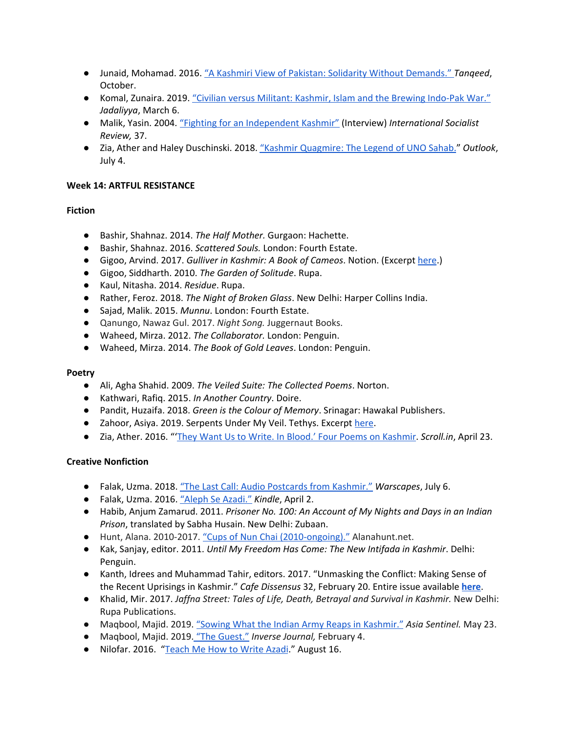- *●* Junaid, Mohamad. 2016. "A Kashmiri View of Pakistan: Solidarity Without [Demands."](https://www.tanqeed.org/2016/10/a-kashmiri-view-of-pakistan-solidarity-without-demands/) *Tanqeed*, October.
- Komal, Zunaira. 2019. "Civilian versus Militant: Kashmir, Islam and the Brewing [Indo-Pak](http://www.jadaliyya.com/Details/38434/Civilian-versus-Militant-Kashmir,-Islam,-and-the-Brewing-IndoPak-War?fbclid=IwAR3iG7VjACvkXptKzRvmrQd_RA6cCNRCFYVcH2ImEAFgiEfNQXVs_8jAxiA) War." *Jadaliyya*, March 6.
- Malik, Yasin. 2004. "Fighting for an [Independent](https://isreview.org/issues/37/yasin_malik.shtml) Kashmir" (Interview) *International Socialist Review,* 37.
- Zia, Ather and Haley Duschinski. 2018. "Kashmir [Quagmire:](https://www.outlookindia.com/magazine/story/kashmir-quagmire-the-legend-of-uno-sahab/300353) The Legend of UNO Sahab." *Outlook*, July 4.

## **Week 14: ARTFUL RESISTANCE**

# **Fiction**

- Bashir, Shahnaz. 2014. *The Half Mother.* Gurgaon: Hachette.
- Bashir, Shahnaz. 2016. *Scattered Souls.* London: Fourth Estate.
- Gigoo, Arvind. 2017. *Gulliver in Kashmir: A Book of Cameos*. Notion. (Excerpt [here.](https://scroll.in/article/854129/cameos-from-kashmir-these-fractured-vignettes-show-the-contradictions-of-the-land))
- Gigoo, Siddharth. 2010. *The Garden of Solitude*. Rupa.
- Kaul, Nitasha. 2014. *Residue*. Rupa.
- Rather, Feroz. 2018. *The Night of Broken Glass*. New Delhi: Harper Collins India.
- Sajad, Malik. 2015. *Munnu*. London: Fourth Estate.
- Qanungo, Nawaz Gul. 2017. *Night Song.* Juggernaut Books.
- Waheed, Mirza. 2012. *The Collaborator.* London: Penguin.
- Waheed, Mirza. 2014. *The Book of Gold Leaves*. London: Penguin.

### **Poetry**

- Ali, Agha Shahid. 2009. *The Veiled Suite: The Collected Poems*. Norton.
- Kathwari, Rafiq. 2015. *In Another Country*. Doire.
- Pandit, Huzaifa. 2018. *Green is the Colour of Memory*. Srinagar: Hawakal Publishers.
- Zahoor, Asiya. 2019. Serpents Under My Veil. Tethys. Excerpt [here.](https://scroll.in/article/933349/are-you-able-to-buy-food-during-curfews-in-kashmir-five-poems-on-from-and-away-from-kashmir)
- Zia, Ather. 2016. "'They Want Us to Write. In Blood.' Four Poems on [Kashmir](https://scroll.in/article/807015/they-want-us-to-write-in-blood-four-poems-on-kashmir). *Scroll.in*, April 23.

### **Creative Nonfiction**

- Falak, Uzma. 2018. "The Last Call: Audio Postcards from [Kashmir."](http://www.warscapes.com/poetry/last-call-audio-postcards-kashmir) *Warscapes*, July 6.
- Falak, Uzma. 2016. "Aleph Se [Azadi."](http://kindlemag.in/aleph-se-azadi/) *Kindle*, April 2.
- Habib, Anjum Zamarud. 2011. *Prisoner No. 100: An Account of My Nights and Days in an Indian Prison*, translated by Sabha Husain. New Delhi: Zubaan.
- Hunt, Alana. 2010-2017. "Cups of Nun Chai [\(2010-ongoing\)."](http://www.alanahunt.net/work/kashmir/nun-chai/) Alanahunt.net.
- Kak, Sanjay, editor. 2011. *Until My Freedom Has Come: The New Intifada in Kashmir*. Delhi: Penguin.
- Kanth, Idrees and Muhammad Tahir, editors. 2017. "Unmasking the Conflict: Making Sense of the Recent Uprisings in Kashmir." *Cafe Dissensus* 32, February 20. Entire issue available **[here](https://cafedissensus.com/2017/02/20/contents-unmasking-the-conflict-making-sense-of-the-recent-uprisings-in-kashmir-issue-32/)**.
- Khalid, Mir. 2017. *Jaffna Street: Tales of Life, Death, Betrayal and Survival in Kashmir.* New Delhi: Rupa Publications.
- Maqbool, Majid. 2019. "Sowing What the Indian Army Reaps in [Kashmir."](https://www.asiasentinel.com/society/sowing-what-india-army-reaps-kashmir/) *Asia Sentinel.* May 23.
- Maqbool, Majid. 2019. "The [Guest."](http://www.inversejournal.com/2019/02/04/the-guest-by-majid-maqbool/) *Inverse Journal,* February 4.
- Nilofar. 2016. ["Teach](https://www.facebook.com/watch/?v=1783298915288241) Me How to Write Azadi." August 16.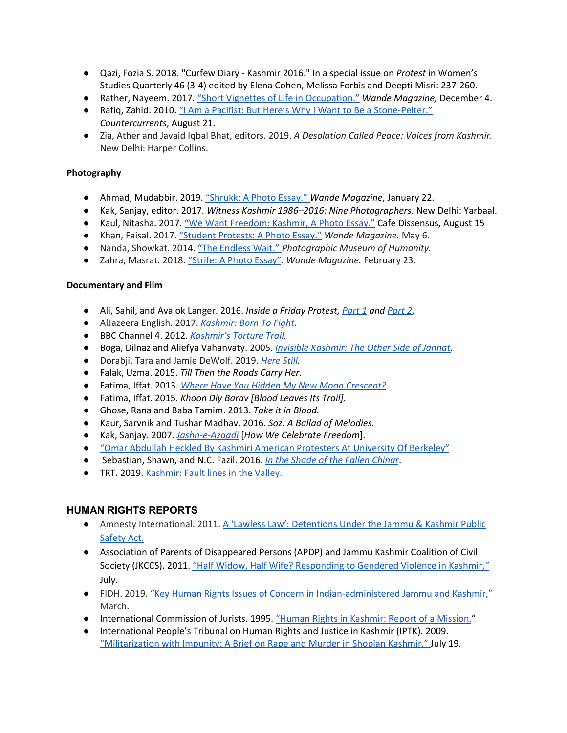- Qazi, Fozia S. 2018. "Curfew Diary Kashmir 2016." In a special issue on *Protest* in Women's Studies Quarterly 46 (3-4) edited by Elena Cohen, Melissa Forbis and Deepti Misri: 237-260.
- Rather, Nayeem. 2017. "Short Vignettes of Life in [Occupation."](http://www.wandemag.com/memory-vignettes-occupation/) *Wande Magazine,* December 4.
- Rafiq, Zahid. 2010. "I Am a Pacifist: But Here's Why I Want to Be a [Stone-Pelter."](https://www.countercurrents.org/rafiq210810.htm) *Countercurrents*, August 21.
- Zia, Ather and Javaid Iqbal Bhat, editors. 2019. *A Desolation Called Peace: Voices from Kashmir.* New Delhi: Harper Collins.

## **Photography**

- Ahmad, Mudabbir. 2019. ["Shrukk:](http://www.wandemag.com/shrukk-a-photo-essay/) A Photo Essay." *Wande Magazine*, January 22.
- Kak, Sanjay, editor. 2017. *Witness Kashmir 1986–2016: Nine Photographers*. New Delhi: Yarbaal.
- Kaul, Nitasha. 2017. "We Want [Freedom:](https://cafedissensus.com/2017/08/15/we-want-freedom-kashmir-a-photo-essay/) Kashmir, A Photo Essay." Cafe Dissensus, August 15
- Khan, Faisal. 2017. "Student [Protests:](http://www.wandemag.com/student-protests-photo-essay/) A Photo Essay." *Wande Magazine.* May 6.
- Nanda, Showkat. 2014. "The [Endless](https://phmuseum.com/showkatnanda/story/the-endless-wait-e6ada8271b) Wait." *Photographic Museum of Humanity.*
- Zahra, Masrat. 2018. ["Strife:](http://www.wandemag.com/photo-essay-strife-masrat-zahra/) A Photo Essay". *Wande Magazine.* February 23.

### **Documentary and Film**

- Ali, Sahil, and Avalok Langer. 2016. *Inside a Friday Protest, [Part](https://www.youtube.com/watch?v=6Q1rd6jaIRY) 1 and [Part](https://www.youtube.com/watch?v=_K7e2GLjmHI) 2*.
- AlJazeera English. 2017. *[Kashmir:](https://www.aljazeera.com/programmes/101east/2017/02/kashmir-born-fight-170209155453176.html) Born To Fight.*
- BBC Channel 4. 2012. *[Kashmir's](https://www.theguardian.com/world/video/2012/jul/10/kashmir-torture-trail-video) Torture Trail.*
- Boga, Dilnaz and Aliefya Vahanvaty. 2005. *Invisible [Kashmir:](https://vimeo.com/289102277) The Other Side of Jannat.*
- *●* Dorabji, Tara and Jamie DeWolf. 2019. *[Here](https://www.youtube.com/watch?v=nv-Bm6VbHS8) Still.*
- Falak, Uzma. 2015. *Till Then the Roads Carry Her*.
- Fatima, Iffat. 2013. *Where Have You Hidden My New Moon [Crescent?](https://www.youtube.com/watch?v=RZK_J96O6gQ)*
- Fatima, Iffat. 2015. *Khoon Diy Barav [Blood Leaves Its Trail].*
- Ghose, Rana and Baba Tamim. 2013. *Take it in Blood.*
- Kaur, Sarvnik and Tushar Madhav. 2016. *Soz: A Ballad of Melodies.*
- Kak, Sanjay. 2007. *[Jashn-e-Azaadi](https://www.youtube.com/watch?v=kJnwGEk1fzQ)* [*How We Celebrate Freedom*].
- "Omar Abdullah Heckled By Kashmiri American [Protesters](https://www.youtube.com/watch?v=bhx9wGnCZsY) At University Of Berkeley"
- Sebastian, Shawn, and N.C. Fazil. 2016. *In the Shade of the Fallen [Chinar](https://www.youtube.com/watch?v=JBUwW5z6aNo)*.
- TRT. 2019. [Kashmir:](https://www.youtube.com/watch?v=PbGeo_B4UTQ) Fault lines in the Valley.

# **HUMAN RIGHTS REPORTS**

- Amnesty International. 2011. A 'Lawless Law': [Detentions](https://www.amnesty.org/en/library/asset/ASA20/001/2011/en/cee7e82a-f6a1-4410-acfc-769d794991b1/asa200012011en.pdf) Under the Jammu & Kashmir Public [Safety](https://www.amnesty.org/en/library/asset/ASA20/001/2011/en/cee7e82a-f6a1-4410-acfc-769d794991b1/asa200012011en.pdf) Act.
- Association of Parents of Disappeared Persons (APDP) and Jammu Kashmir Coalition of Civil Society (JKCCS). 2011. "Half Widow, Half Wife? [Responding](https://kafilabackup.files.wordpress.com/2011/07/half-widow-half-wife-apdp-report.pdf) to Gendered Violence in Kashmir,*["](https://kafilabackup.files.wordpress.com/2011/07/half-widow-half-wife-apdp-report.pdf)* July.
- FIDH. 2019. "Key Human Rights Issues of Concern in [Indian-administered](https://www.fidh.org/IMG/pdf/20190315_kashmir_briefing_note_-_final.pdf) Jammu and Kashmir," March.
- International Commission of Jurists. 1995. "Human Rights in [Kashmir:](https://www.icj.org/wp-content/uploads/1995/01/India-human-righst-in-Kashmir-fact-finding-mission-report-1995-eng.pdf) Report of a Mission."
- International People's Tribunal on Human Rights and Justice in Kashmir (IPTK). 2009. ["Militarization](http://kashmirprocess.org/reports/shopian/) with Impunity: A Brief on Rape and Murder in Shopian Kashmir," July 19.